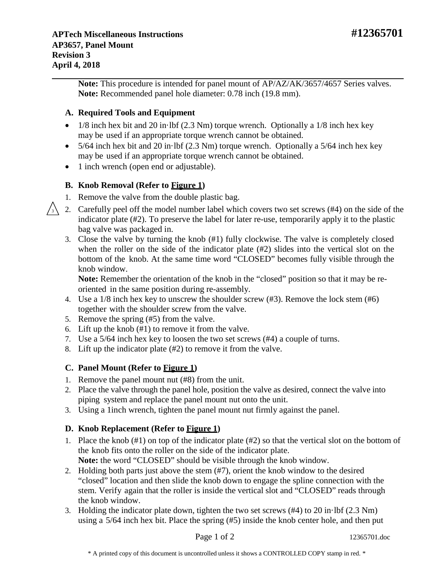**Note:** This procedure is intended for panel mount of AP/AZ/AK/3657/4657 Series valves. **Note:** Recommended panel hole diameter: 0.78 inch (19.8 mm).

## **A. Required Tools and Equipment**

**Revision 3 April 4, 2018**

- $1/8$  inch hex bit and 20 in·lbf (2.3 Nm) torque wrench. Optionally a  $1/8$  inch hex key may be used if an appropriate torque wrench cannot be obtained.
- 5/64 inch hex bit and 20 in $\cdot$  lbf (2.3 Nm) torque wrench. Optionally a 5/64 inch hex key may be used if an appropriate torque wrench cannot be obtained.
- 1 inch wrench (open end or adjustable).

# **B. Knob Removal (Refer to Figure 1)**

- 1. Remove the valve from the double plastic bag.
- 2. Carefully peel off the model number label which covers two set screws (#4) on the side of the indicator plate (#2). To preserve the label for later re-use, temporarily apply it to the plastic bag valve was packaged in. 3
	- 3. Close the valve by turning the knob (#1) fully clockwise. The valve is completely closed when the roller on the side of the indicator plate (#2) slides into the vertical slot on the bottom of the knob. At the same time word "CLOSED" becomes fully visible through the knob window.

**Note:** Remember the orientation of the knob in the "closed" position so that it may be reoriented in the same position during re-assembly.

- 4. Use a 1/8 inch hex key to unscrew the shoulder screw (#3). Remove the lock stem (#6) together with the shoulder screw from the valve.
- 5. Remove the spring (#5) from the valve.
- 6. Lift up the knob (#1) to remove it from the valve.
- 7. Use a 5/64 inch hex key to loosen the two set screws (#4) a couple of turns.
- 8. Lift up the indicator plate (#2) to remove it from the valve.

# **C. Panel Mount (Refer to Figure 1)**

- 1. Remove the panel mount nut (#8) from the unit.
- 2. Place the valve through the panel hole, position the valve as desired, connect the valve into piping system and replace the panel mount nut onto the unit.
- 3. Using a 1inch wrench, tighten the panel mount nut firmly against the panel.

# **D. Knob Replacement (Refer to Figure 1)**

- 1. Place the knob (#1) on top of the indicator plate (#2) so that the vertical slot on the bottom of the knob fits onto the roller on the side of the indicator plate. **Note:** the word "CLOSED" should be visible through the knob window.
- 2. Holding both parts just above the stem (#7), orient the knob window to the desired "closed" location and then slide the knob down to engage the spline connection with the stem. Verify again that the roller is inside the vertical slot and "CLOSED" reads through the knob window.
- 3. Holding the indicator plate down, tighten the two set screws (#4) to 20 in·lbf (2.3 Nm) using a 5/64 inch hex bit. Place the spring (#5) inside the knob center hole, and then put

Page 1 of 2 12365701.doc